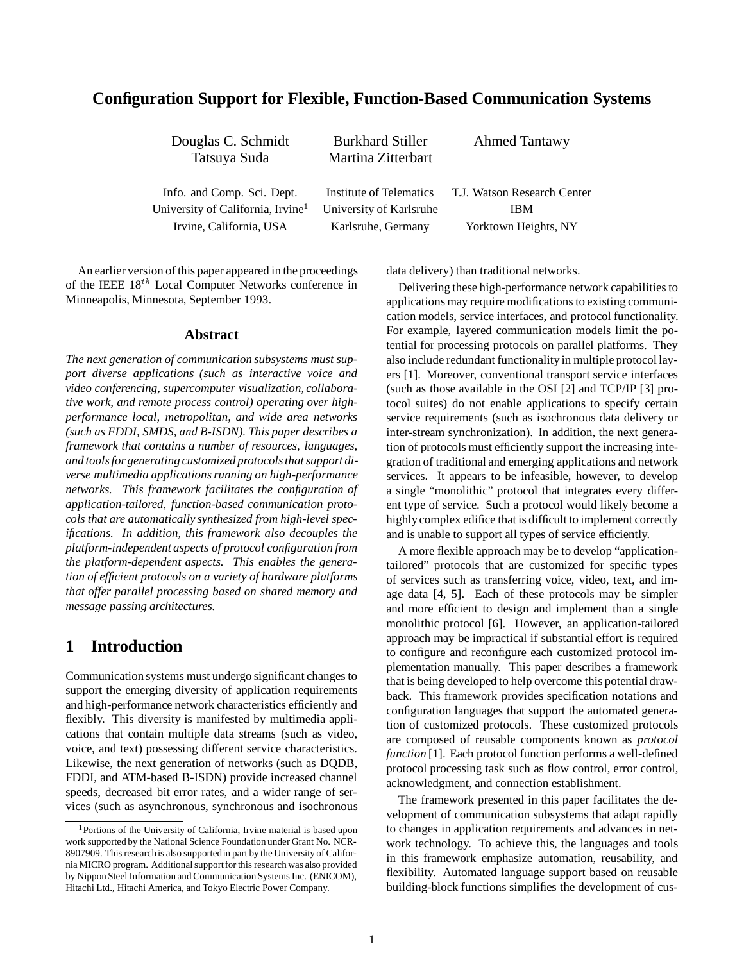## **Configuration Support for Flexible, Function-Based Communication Systems**

| Douglas C. Schmidt                            | <b>Burkhard Stiller</b> | <b>Ahmed Tantawy</b>        |
|-----------------------------------------------|-------------------------|-----------------------------|
| Tatsuya Suda                                  | Martina Zitterbart      |                             |
|                                               |                         |                             |
| Info. and Comp. Sci. Dept.                    | Institute of Telematics | T.J. Watson Research Center |
| University of California, Irvine <sup>1</sup> | University of Karlsruhe | <b>IBM</b>                  |
| Irvine, California, USA                       | Karlsruhe, Germany      | Yorktown Heights, NY        |
|                                               |                         |                             |

An earlier version of this paper appeared in the proceedings of the IEEE  $18^{th}$  Local Computer Networks conference in Minneapolis, Minnesota, September 1993.

#### **Abstract**

*The next generation of communication subsystems must support diverse applications (such as interactive voice and video conferencing, supercomputer visualization, collaborative work, and remote process control) operating over highperformance local, metropolitan, and wide area networks (such as FDDI, SMDS, and B-ISDN). This paper describes a framework that contains a number of resources, languages, and tools for generating customized protocols that support diverse multimedia applications running on high-performance networks. This framework facilitates the configuration of application-tailored, function-based communication protocols that are automatically synthesized from high-level specifications. In addition, this framework also decouples the platform-independent aspects of protocol configuration from the platform-dependent aspects. This enables the generation of efficient protocols on a variety of hardware platforms that offer parallel processing based on shared memory and message passing architectures.*

## **1 Introduction**

Communication systems must undergo significant changes to support the emerging diversity of application requirements and high-performance network characteristics efficiently and flexibly. This diversity is manifested by multimedia applications that contain multiple data streams (such as video, voice, and text) possessing different service characteristics. Likewise, the next generation of networks (such as DQDB, FDDI, and ATM-based B-ISDN) provide increased channel speeds, decreased bit error rates, and a wider range of services (such as asynchronous, synchronous and isochronous data delivery) than traditional networks.

Delivering these high-performance network capabilities to applications may require modifications to existing communication models, service interfaces, and protocol functionality. For example, layered communication models limit the potential for processing protocols on parallel platforms. They also include redundant functionality in multiple protocol layers [1]. Moreover, conventional transport service interfaces (such as those available in the OSI [2] and TCP/IP [3] protocol suites) do not enable applications to specify certain service requirements (such as isochronous data delivery or inter-stream synchronization). In addition, the next generation of protocols must efficiently support the increasing integration of traditional and emerging applications and network services. It appears to be infeasible, however, to develop a single "monolithic" protocol that integrates every different type of service. Such a protocol would likely become a highlycomplex edifice that is difficult to implement correctly and is unable to support all types of service efficiently.

A more flexible approach may be to develop "applicationtailored" protocols that are customized for specific types of services such as transferring voice, video, text, and image data [4, 5]. Each of these protocols may be simpler and more efficient to design and implement than a single monolithic protocol [6]. However, an application-tailored approach may be impractical if substantial effort is required to configure and reconfigure each customized protocol implementation manually. This paper describes a framework that is being developed to help overcome this potential drawback. This framework provides specification notations and configuration languages that support the automated generation of customized protocols. These customized protocols are composed of reusable components known as *protocol function* [1]. Each protocol function performs a well-defined protocol processing task such as flow control, error control, acknowledgment, and connection establishment.

The framework presented in this paper facilitates the development of communication subsystems that adapt rapidly to changes in application requirements and advances in network technology. To achieve this, the languages and tools in this framework emphasize automation, reusability, and flexibility. Automated language support based on reusable building-block functions simplifies the development of cus-

<sup>&</sup>lt;sup>1</sup>Portions of the University of California, Irvine material is based upon work supported by the National Science Foundation under Grant No. NCR-8907909. This research is also supportedin part by the University of California MICRO program. Additional supportfor this research was also provided by Nippon Steel Information and Communication Systems Inc. (ENICOM), Hitachi Ltd., Hitachi America, and Tokyo Electric Power Company.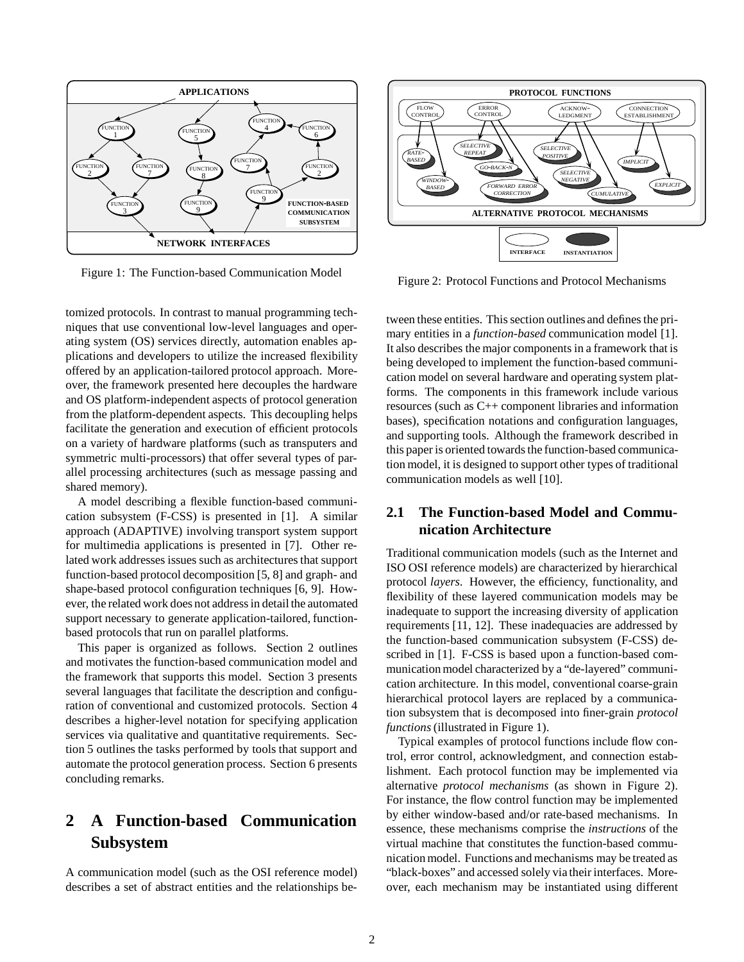

Figure 1: The Function-based Communication Model

tomized protocols. In contrast to manual programming techniques that use conventional low-level languages and operating system (OS) services directly, automation enables applications and developers to utilize the increased flexibility offered by an application-tailored protocol approach. Moreover, the framework presented here decouples the hardware and OS platform-independent aspects of protocol generation from the platform-dependent aspects. This decoupling helps facilitate the generation and execution of efficient protocols on a variety of hardware platforms (such as transputers and symmetric multi-processors) that offer several types of parallel processing architectures (such as message passing and shared memory).

A model describing a flexible function-based communication subsystem (F-CSS) is presented in [1]. A similar approach (ADAPTIVE) involving transport system support for multimedia applications is presented in [7]. Other related work addresses issues such as architectures that support function-based protocol decomposition [5, 8] and graph- and shape-based protocol configuration techniques [6, 9]. However, the related work does not address in detail the automated support necessary to generate application-tailored, functionbased protocols that run on parallel platforms.

This paper is organized as follows. Section 2 outlines and motivates the function-based communication model and the framework that supports this model. Section 3 presents several languages that facilitate the description and configuration of conventional and customized protocols. Section 4 describes a higher-level notation for specifying application services via qualitative and quantitative requirements. Section 5 outlines the tasks performed by tools that support and automate the protocol generation process. Section 6 presents concluding remarks.

# **2 A Function-based Communication Subsystem**

A communication model (such as the OSI reference model) describes a set of abstract entities and the relationships be-



Figure 2: Protocol Functions and Protocol Mechanisms

tween these entities. This section outlines and defines the primary entities in a *function-based* communication model [1]. It also describes the major components in a framework that is being developed to implement the function-based communication model on several hardware and operating system platforms. The components in this framework include various resources (such as C++ component libraries and information bases), specification notations and configuration languages, and supporting tools. Although the framework described in this paper is oriented towards the function-based communication model, it is designed to support other types of traditional communication models as well [10].

## **2.1 The Function-based Model and Communication Architecture**

Traditional communication models (such as the Internet and ISO OSI reference models) are characterized by hierarchical protocol *layers*. However, the efficiency, functionality, and flexibility of these layered communication models may be inadequate to support the increasing diversity of application requirements [11, 12]. These inadequacies are addressed by the function-based communication subsystem (F-CSS) described in [1]. F-CSS is based upon a function-based communication model characterized by a "de-layered" communication architecture. In this model, conventional coarse-grain hierarchical protocol layers are replaced by a communication subsystem that is decomposed into finer-grain *protocol functions* (illustrated in Figure 1).

Typical examples of protocol functions include flow control, error control, acknowledgment, and connection establishment. Each protocol function may be implemented via alternative *protocol mechanisms* (as shown in Figure 2). For instance, the flow control function may be implemented by either window-based and/or rate-based mechanisms. In essence, these mechanisms comprise the *instructions* of the virtual machine that constitutes the function-based communication model. Functions and mechanisms may be treated as "black-boxes" and accessed solely via their interfaces. Moreover, each mechanism may be instantiated using different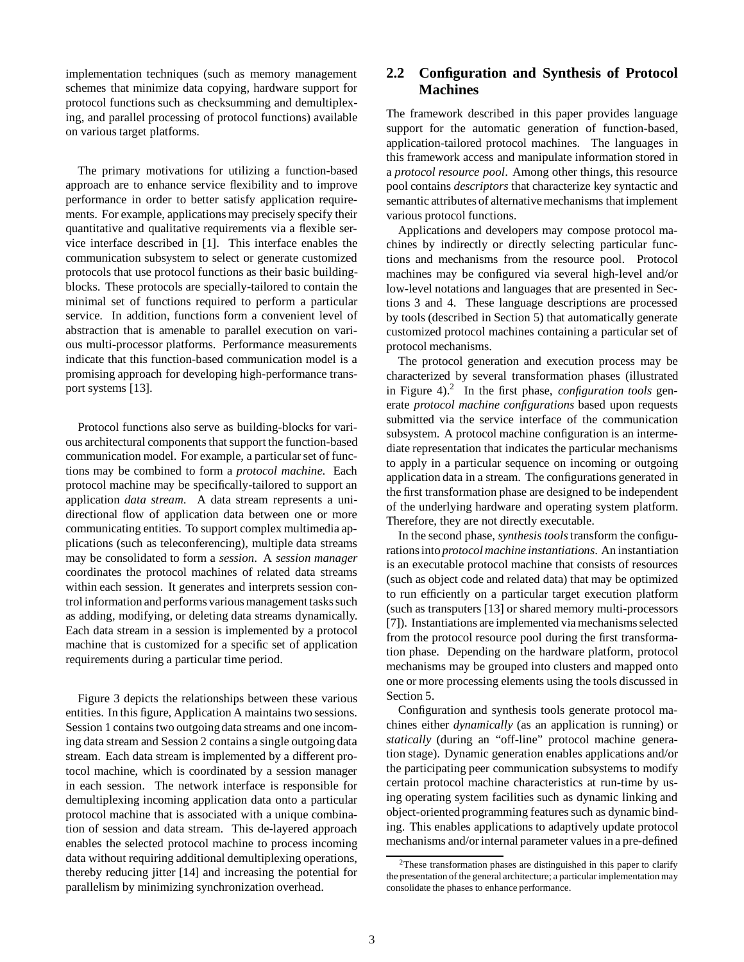implementation techniques (such as memory management schemes that minimize data copying, hardware support for protocol functions such as checksumming and demultiplexing, and parallel processing of protocol functions) available on various target platforms.

The primary motivations for utilizing a function-based approach are to enhance service flexibility and to improve performance in order to better satisfy application requirements. For example, applications may precisely specify their quantitative and qualitative requirements via a flexible service interface described in [1]. This interface enables the communication subsystem to select or generate customized protocols that use protocol functions as their basic buildingblocks. These protocols are specially-tailored to contain the minimal set of functions required to perform a particular service. In addition, functions form a convenient level of abstraction that is amenable to parallel execution on various multi-processor platforms. Performance measurements indicate that this function-based communication model is a promising approach for developing high-performance transport systems [13].

Protocol functions also serve as building-blocks for various architectural components that support the function-based communication model. For example, a particular set of functions may be combined to form a *protocol machine*. Each protocol machine may be specifically-tailored to support an application *data stream*. A data stream represents a unidirectional flow of application data between one or more communicating entities. To support complex multimedia applications (such as teleconferencing), multiple data streams may be consolidated to form a *session*. A *session manager* coordinates the protocol machines of related data streams within each session. It generates and interprets session control information and performs various management tasks such as adding, modifying, or deleting data streams dynamically. Each data stream in a session is implemented by a protocol machine that is customized for a specific set of application requirements during a particular time period.

Figure 3 depicts the relationships between these various entities. In this figure, Application A maintains two sessions. Session 1 contains two outgoing data streams and one incoming data stream and Session 2 contains a single outgoing data stream. Each data stream is implemented by a different protocol machine, which is coordinated by a session manager in each session. The network interface is responsible for demultiplexing incoming application data onto a particular protocol machine that is associated with a unique combination of session and data stream. This de-layered approach enables the selected protocol machine to process incoming data without requiring additional demultiplexing operations, thereby reducing jitter [14] and increasing the potential for parallelism by minimizing synchronization overhead.

### **2.2 Configuration and Synthesis of Protocol Machines**

The framework described in this paper provides language support for the automatic generation of function-based, application-tailored protocol machines. The languages in this framework access and manipulate information stored in a *protocol resource pool*. Among other things, this resource pool contains *descriptors* that characterize key syntactic and semantic attributes of alternative mechanisms that implement various protocol functions.

Applications and developers may compose protocol machines by indirectly or directly selecting particular functions and mechanisms from the resource pool. Protocol machines may be configured via several high-level and/or low-level notations and languages that are presented in Sections 3 and 4. These language descriptions are processed by tools (described in Section 5) that automatically generate customized protocol machines containing a particular set of protocol mechanisms.

The protocol generation and execution process may be characterized by several transformation phases (illustrated in Figure 4).<sup>2</sup> In the first phase, *configuration tools* generate *protocol machine configurations* based upon requests submitted via the service interface of the communication subsystem. A protocol machine configuration is an intermediate representation that indicates the particular mechanisms to apply in a particular sequence on incoming or outgoing application data in a stream. The configurations generated in the first transformation phase are designed to be independent of the underlying hardware and operating system platform. Therefore, they are not directly executable.

In the second phase, *synthesis tools*transform the configurations into *protocol machine instantiations*. An instantiation is an executable protocol machine that consists of resources (such as object code and related data) that may be optimized to run efficiently on a particular target execution platform (such as transputers [13] or shared memory multi-processors [7]). Instantiations are implemented via mechanisms selected from the protocol resource pool during the first transformation phase. Depending on the hardware platform, protocol mechanisms may be grouped into clusters and mapped onto one or more processing elements using the tools discussed in Section 5.

Configuration and synthesis tools generate protocol machines either *dynamically* (as an application is running) or *statically* (during an "off-line" protocol machine generation stage). Dynamic generation enables applications and/or the participating peer communication subsystems to modify certain protocol machine characteristics at run-time by using operating system facilities such as dynamic linking and object-oriented programming features such as dynamic binding. This enables applications to adaptively update protocol mechanisms and/or internal parameter values in a pre-defined

<sup>2</sup>These transformation phases are distinguished in this paper to clarify the presentation of the general architecture; a particular implementation may consolidate the phases to enhance performance.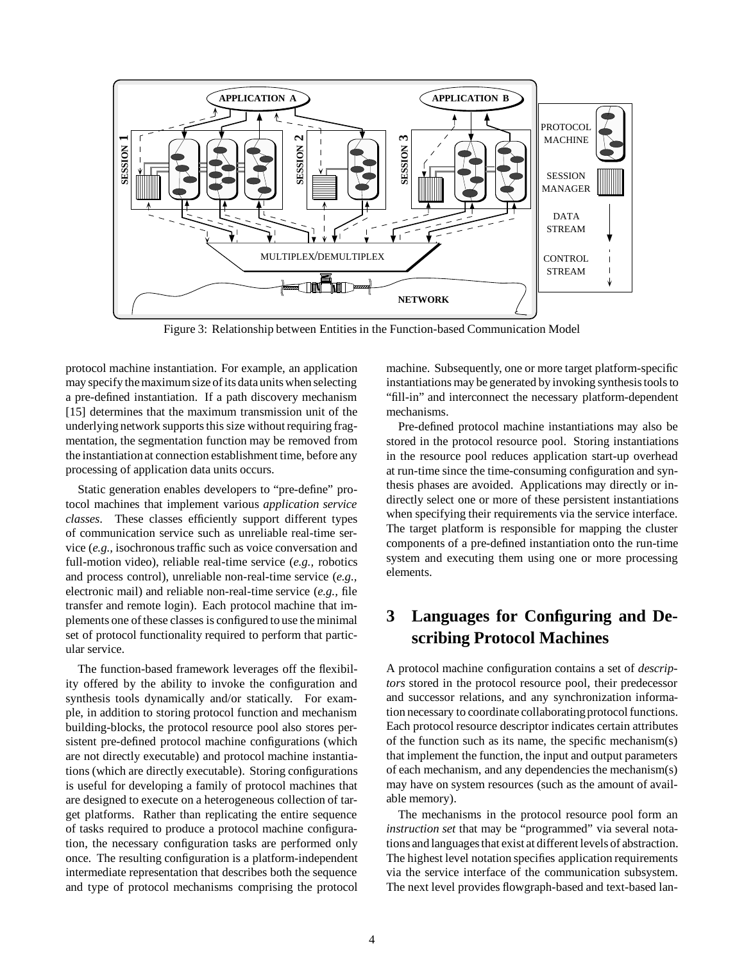

Figure 3: Relationship between Entities in the Function-based Communication Model

protocol machine instantiation. For example, an application may specify the maximum size of its data units when selecting a pre-defined instantiation. If a path discovery mechanism [15] determines that the maximum transmission unit of the underlying network supports this size without requiring fragmentation, the segmentation function may be removed from the instantiation at connection establishment time, before any processing of application data units occurs.

Static generation enables developers to "pre-define" protocol machines that implement various *application service classes*. These classes efficiently support different types of communication service such as unreliable real-time service (*e.g.,* isochronous traffic such as voice conversation and full-motion video), reliable real-time service (*e.g.,* robotics and process control), unreliable non-real-time service (*e.g.,* electronic mail) and reliable non-real-time service (*e.g.,* file transfer and remote login). Each protocol machine that implements one of these classes is configured to use the minimal set of protocol functionality required to perform that particular service.

The function-based framework leverages off the flexibility offered by the ability to invoke the configuration and synthesis tools dynamically and/or statically. For example, in addition to storing protocol function and mechanism building-blocks, the protocol resource pool also stores persistent pre-defined protocol machine configurations (which are not directly executable) and protocol machine instantiations (which are directly executable). Storing configurations is useful for developing a family of protocol machines that are designed to execute on a heterogeneous collection of target platforms. Rather than replicating the entire sequence of tasks required to produce a protocol machine configuration, the necessary configuration tasks are performed only once. The resulting configuration is a platform-independent intermediate representation that describes both the sequence and type of protocol mechanisms comprising the protocol

machine. Subsequently, one or more target platform-specific instantiations may be generated by invoking synthesis tools to "fill-in" and interconnect the necessary platform-dependent mechanisms.

Pre-defined protocol machine instantiations may also be stored in the protocol resource pool. Storing instantiations in the resource pool reduces application start-up overhead at run-time since the time-consuming configuration and synthesis phases are avoided. Applications may directly or indirectly select one or more of these persistent instantiations when specifying their requirements via the service interface. The target platform is responsible for mapping the cluster components of a pre-defined instantiation onto the run-time system and executing them using one or more processing elements.

# **3 Languages for Configuring and Describing Protocol Machines**

A protocol machine configuration contains a set of *descriptors* stored in the protocol resource pool, their predecessor and successor relations, and any synchronization information necessary to coordinate collaborating protocol functions. Each protocol resource descriptor indicates certain attributes of the function such as its name, the specific mechanism(s) that implement the function, the input and output parameters of each mechanism, and any dependencies the mechanism(s) may have on system resources (such as the amount of available memory).

The mechanisms in the protocol resource pool form an *instruction set* that may be "programmed" via several notations and languages that exist at different levels of abstraction. The highest level notation specifies application requirements via the service interface of the communication subsystem. The next level provides flowgraph-based and text-based lan-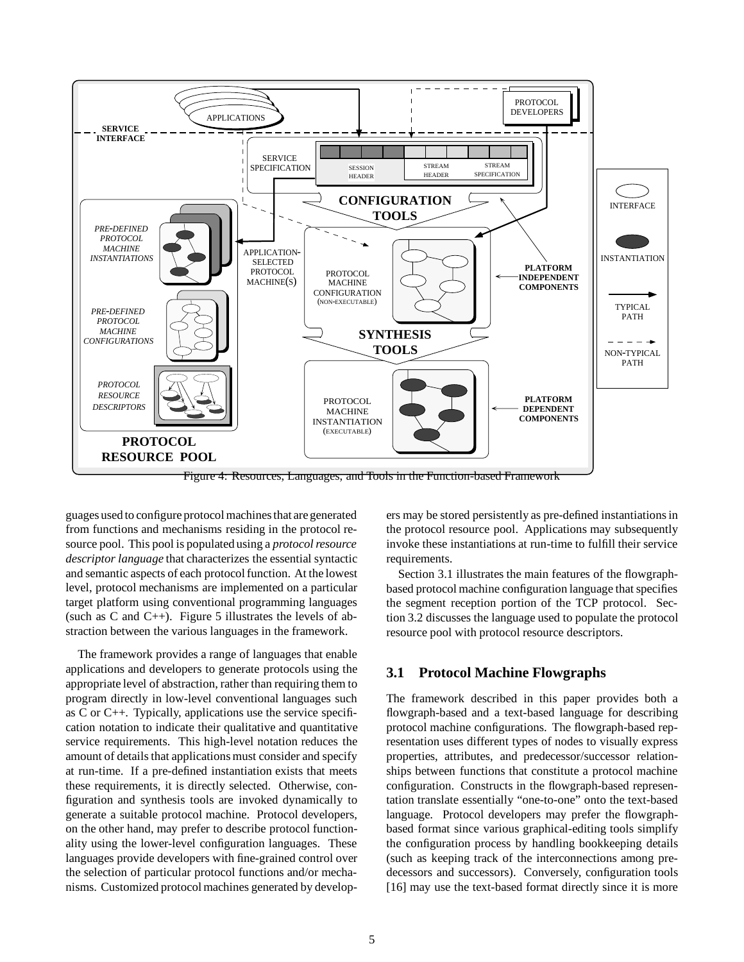

Figure 4: Resources, Languages, and Tools in the Function-based Framework

guages used to configure protocol machines that are generated from functions and mechanisms residing in the protocol resource pool. This pool is populated using a *protocol resource descriptor language* that characterizes the essential syntactic and semantic aspects of each protocol function. At the lowest level, protocol mechanisms are implemented on a particular target platform using conventional programming languages (such as C and  $C_{++}$ ). Figure 5 illustrates the levels of abstraction between the various languages in the framework.

The framework provides a range of languages that enable applications and developers to generate protocols using the appropriate level of abstraction, rather than requiring them to program directly in low-level conventional languages such as C or C++. Typically, applications use the service specification notation to indicate their qualitative and quantitative service requirements. This high-level notation reduces the amount of details that applications must consider and specify at run-time. If a pre-defined instantiation exists that meets these requirements, it is directly selected. Otherwise, configuration and synthesis tools are invoked dynamically to generate a suitable protocol machine. Protocol developers, on the other hand, may prefer to describe protocol functionality using the lower-level configuration languages. These languages provide developers with fine-grained control over the selection of particular protocol functions and/or mechanisms. Customized protocol machines generated by developers may be stored persistently as pre-defined instantiations in the protocol resource pool. Applications may subsequently invoke these instantiations at run-time to fulfill their service requirements.

Section 3.1 illustrates the main features of the flowgraphbased protocol machine configuration language that specifies the segment reception portion of the TCP protocol. Section 3.2 discusses the language used to populate the protocol resource pool with protocol resource descriptors.

#### **3.1 Protocol Machine Flowgraphs**

The framework described in this paper provides both a flowgraph-based and a text-based language for describing protocol machine configurations. The flowgraph-based representation uses different types of nodes to visually express properties, attributes, and predecessor/successor relationships between functions that constitute a protocol machine configuration. Constructs in the flowgraph-based representation translate essentially "one-to-one" onto the text-based language. Protocol developers may prefer the flowgraphbased format since various graphical-editing tools simplify the configuration process by handling bookkeeping details (such as keeping track of the interconnections among predecessors and successors). Conversely, configuration tools [16] may use the text-based format directly since it is more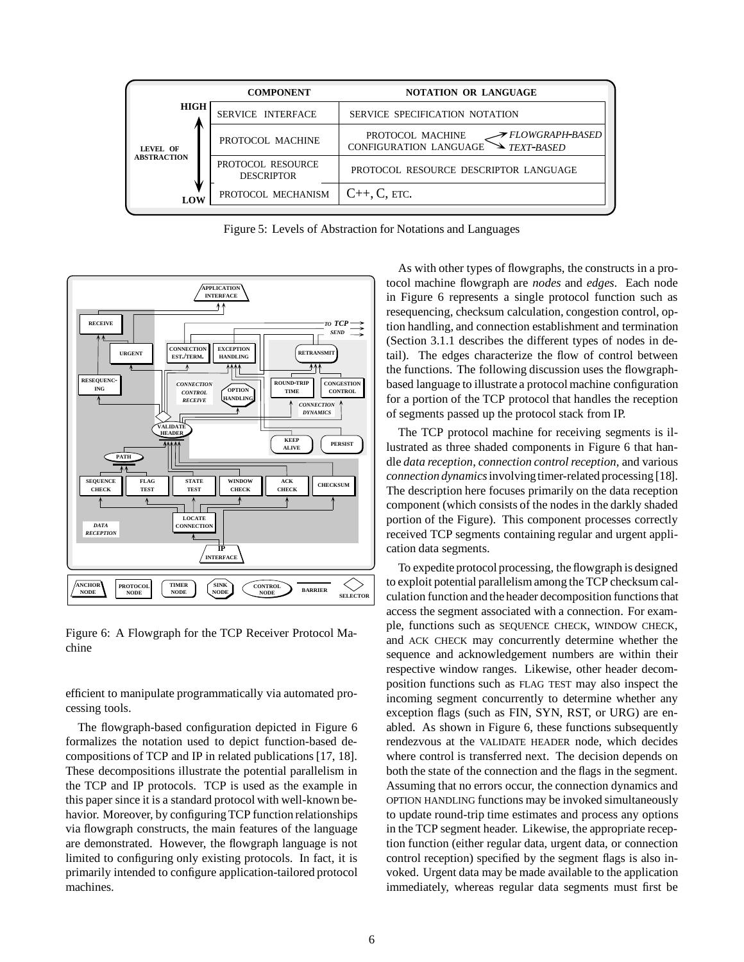

Figure 5: Levels of Abstraction for Notations and Languages



Figure 6: A Flowgraph for the TCP Receiver Protocol Machine

efficient to manipulate programmatically via automated processing tools.

The flowgraph-based configuration depicted in Figure 6 formalizes the notation used to depict function-based decompositions of TCP and IP in related publications [17, 18]. These decompositions illustrate the potential parallelism in the TCP and IP protocols. TCP is used as the example in this paper since it is a standard protocol with well-known behavior. Moreover, by configuring TCP function relationships via flowgraph constructs, the main features of the language are demonstrated. However, the flowgraph language is not limited to configuring only existing protocols. In fact, it is primarily intended to configure application-tailored protocol machines.

As with other types of flowgraphs, the constructs in a protocol machine flowgraph are *nodes* and *edges*. Each node in Figure 6 represents a single protocol function such as resequencing, checksum calculation, congestion control, option handling, and connection establishment and termination (Section 3.1.1 describes the different types of nodes in detail). The edges characterize the flow of control between the functions. The following discussion uses the flowgraphbased language to illustrate a protocol machine configuration for a portion of the TCP protocol that handles the reception of segments passed up the protocol stack from IP.

The TCP protocol machine for receiving segments is illustrated as three shaded components in Figure 6 that handle *data reception*, *connection control reception*, and various *connection dynamics* involving timer-related processing [18]. The description here focuses primarily on the data reception component (which consists of the nodes in the darkly shaded portion of the Figure). This component processes correctly received TCP segments containing regular and urgent application data segments.

To expedite protocol processing, the flowgraph is designed to exploit potential parallelism among the TCP checksum calculation function and the header decomposition functions that access the segment associated with a connection. For example, functions such as SEQUENCE CHECK, WINDOW CHECK, and ACK CHECK may concurrently determine whether the sequence and acknowledgement numbers are within their respective window ranges. Likewise, other header decomposition functions such as FLAG TEST may also inspect the incoming segment concurrently to determine whether any exception flags (such as FIN, SYN, RST, or URG) are enabled. As shown in Figure 6, these functions subsequently rendezvous at the VALIDATE HEADER node, which decides where control is transferred next. The decision depends on both the state of the connection and the flags in the segment. Assuming that no errors occur, the connection dynamics and OPTION HANDLING functions may be invoked simultaneously to update round-trip time estimates and process any options in the TCP segment header. Likewise, the appropriate reception function (either regular data, urgent data, or connection control reception) specified by the segment flags is also invoked. Urgent data may be made available to the application immediately, whereas regular data segments must first be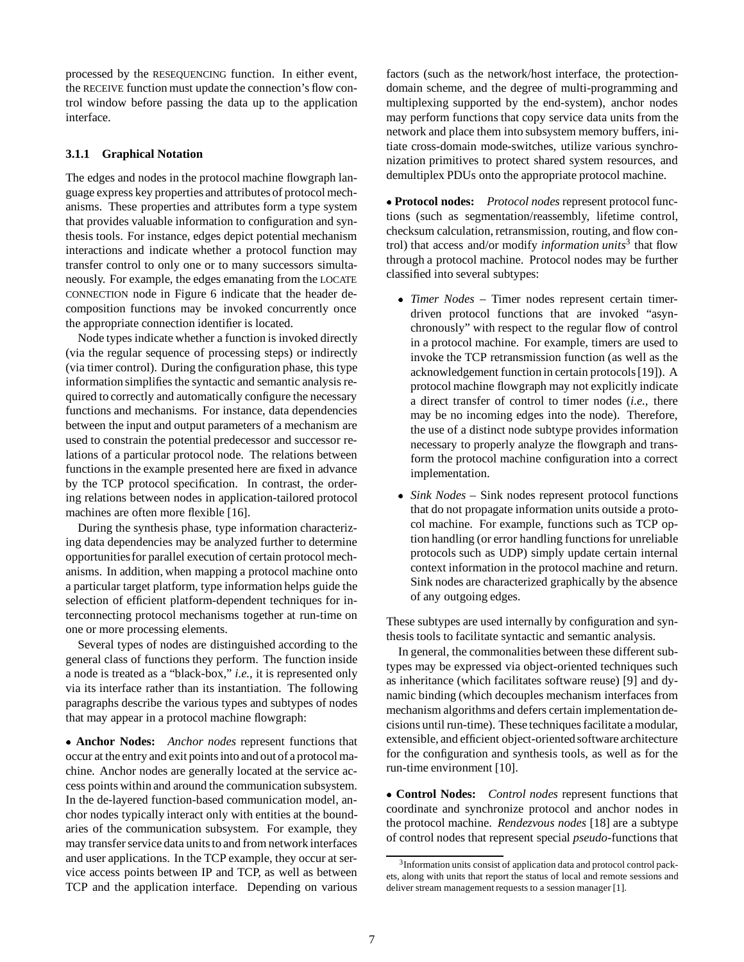processed by the RESEQUENCING function. In either event, the RECEIVE function must update the connection's flow control window before passing the data up to the application interface.

#### **3.1.1 Graphical Notation**

The edges and nodes in the protocol machine flowgraph language express key properties and attributes of protocol mechanisms. These properties and attributes form a type system that provides valuable information to configuration and synthesis tools. For instance, edges depict potential mechanism interactions and indicate whether a protocol function may transfer control to only one or to many successors simultaneously. For example, the edges emanating from the LOCATE CONNECTION node in Figure 6 indicate that the header decomposition functions may be invoked concurrently once the appropriate connection identifier is located.

Node types indicate whether a function is invoked directly (via the regular sequence of processing steps) or indirectly (via timer control). During the configuration phase, this type information simplifies the syntactic and semantic analysis required to correctly and automatically configure the necessary functions and mechanisms. For instance, data dependencies between the input and output parameters of a mechanism are used to constrain the potential predecessor and successor relations of a particular protocol node. The relations between functions in the example presented here are fixed in advance by the TCP protocol specification. In contrast, the ordering relations between nodes in application-tailored protocol machines are often more flexible [16].

During the synthesis phase, type information characterizing data dependencies may be analyzed further to determine opportunitiesfor parallel execution of certain protocol mechanisms. In addition, when mapping a protocol machine onto a particular target platform, type information helps guide the selection of efficient platform-dependent techniques for interconnecting protocol mechanisms together at run-time on one or more processing elements.

Several types of nodes are distinguished according to the general class of functions they perform. The function inside a node is treated as a "black-box," *i.e.,* it is represented only via its interface rather than its instantiation. The following paragraphs describe the various types and subtypes of nodes that may appear in a protocol machine flowgraph:

 **Anchor Nodes:** *Anchor nodes* represent functions that occur at the entry and exit points into and out of a protocol machine. Anchor nodes are generally located at the service access points within and around the communication subsystem. In the de-layered function-based communication model, anchor nodes typically interact only with entities at the boundaries of the communication subsystem. For example, they may transfer service data units to and from network interfaces and user applications. In the TCP example, they occur at service access points between IP and TCP, as well as between TCP and the application interface. Depending on various

factors (such as the network/host interface, the protectiondomain scheme, and the degree of multi-programming and multiplexing supported by the end-system), anchor nodes may perform functions that copy service data units from the network and place them into subsystem memory buffers, initiate cross-domain mode-switches, utilize various synchronization primitives to protect shared system resources, and demultiplex PDUs onto the appropriate protocol machine.

 **Protocol nodes:** *Protocol nodes* represent protocol functions (such as segmentation/reassembly, lifetime control, checksum calculation, retransmission, routing, and flow control) that access and/or modify *information units*<sup>3</sup> that flow through a protocol machine. Protocol nodes may be further classified into several subtypes:

- *Timer Nodes* Timer nodes represent certain timerdriven protocol functions that are invoked "asynchronously" with respect to the regular flow of control in a protocol machine. For example, timers are used to invoke the TCP retransmission function (as well as the acknowledgement function in certain protocols [19]). A protocol machine flowgraph may not explicitly indicate a direct transfer of control to timer nodes (*i.e.,* there may be no incoming edges into the node). Therefore, the use of a distinct node subtype provides information necessary to properly analyze the flowgraph and transform the protocol machine configuration into a correct implementation.
- *Sink Nodes* Sink nodes represent protocol functions that do not propagate information units outside a protocol machine. For example, functions such as TCP option handling (or error handling functions for unreliable protocols such as UDP) simply update certain internal context information in the protocol machine and return. Sink nodes are characterized graphically by the absence of any outgoing edges.

These subtypes are used internally by configuration and synthesis tools to facilitate syntactic and semantic analysis.

In general, the commonalities between these different subtypes may be expressed via object-oriented techniques such as inheritance (which facilitates software reuse) [9] and dynamic binding (which decouples mechanism interfaces from mechanism algorithms and defers certain implementation decisions until run-time). These techniques facilitate a modular, extensible, and efficient object-oriented software architecture for the configuration and synthesis tools, as well as for the run-time environment [10].

 **Control Nodes:** *Control nodes* represent functions that coordinate and synchronize protocol and anchor nodes in the protocol machine. *Rendezvous nodes* [18] are a subtype of control nodes that represent special *pseudo*-functions that

<sup>&</sup>lt;sup>3</sup>Information units consist of application data and protocol control packets, along with units that report the status of local and remote sessions and deliver stream management requests to a session manager [1].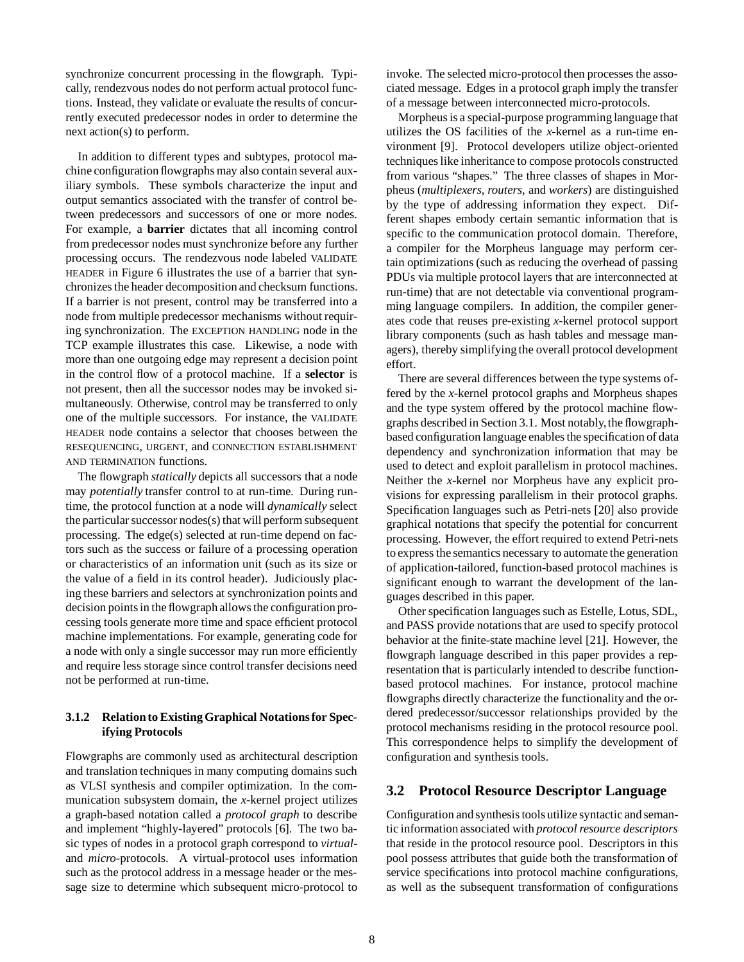synchronize concurrent processing in the flowgraph. Typically, rendezvous nodes do not perform actual protocol functions. Instead, they validate or evaluate the results of concurrently executed predecessor nodes in order to determine the next action(s) to perform.

In addition to different types and subtypes, protocol machine configuration flowgraphs may also contain several auxiliary symbols. These symbols characterize the input and output semantics associated with the transfer of control between predecessors and successors of one or more nodes. For example, a **barrier** dictates that all incoming control from predecessor nodes must synchronize before any further processing occurs. The rendezvous node labeled VALIDATE HEADER in Figure 6 illustrates the use of a barrier that synchronizes the header decomposition and checksum functions. If a barrier is not present, control may be transferred into a node from multiple predecessor mechanisms without requiring synchronization. The EXCEPTION HANDLING node in the TCP example illustrates this case. Likewise, a node with more than one outgoing edge may represent a decision point in the control flow of a protocol machine. If a **selector** is not present, then all the successor nodes may be invoked simultaneously. Otherwise, control may be transferred to only one of the multiple successors. For instance, the VALIDATE HEADER node contains a selector that chooses between the RESEQUENCING, URGENT, and CONNECTION ESTABLISHMENT AND TERMINATION functions.

The flowgraph *statically* depicts all successors that a node may *potentially* transfer control to at run-time. During runtime, the protocol function at a node will *dynamically* select the particular successor nodes(s) that will perform subsequent processing. The edge(s) selected at run-time depend on factors such as the success or failure of a processing operation or characteristics of an information unit (such as its size or the value of a field in its control header). Judiciously placing these barriers and selectors at synchronization points and decision points in the flowgraph allows the configuration processing tools generate more time and space efficient protocol machine implementations. For example, generating code for a node with only a single successor may run more efficiently and require less storage since control transfer decisions need not be performed at run-time.

#### **3.1.2 Relation to Existing Graphical Notations for Specifying Protocols**

Flowgraphs are commonly used as architectural description and translation techniques in many computing domains such as VLSI synthesis and compiler optimization. In the communication subsystem domain, the *x*-kernel project utilizes a graph-based notation called a *protocol graph* to describe and implement "highly-layered" protocols [6]. The two basic types of nodes in a protocol graph correspond to *virtual*and *micro*-protocols. A virtual-protocol uses information such as the protocol address in a message header or the message size to determine which subsequent micro-protocol to

invoke. The selected micro-protocol then processes the associated message. Edges in a protocol graph imply the transfer of a message between interconnected micro-protocols.

Morpheus is a special-purpose programming language that utilizes the OS facilities of the *x*-kernel as a run-time environment [9]. Protocol developers utilize object-oriented techniques like inheritance to compose protocols constructed from various "shapes." The three classes of shapes in Morpheus (*multiplexers*, *routers*, and *workers*) are distinguished by the type of addressing information they expect. Different shapes embody certain semantic information that is specific to the communication protocol domain. Therefore, a compiler for the Morpheus language may perform certain optimizations (such as reducing the overhead of passing PDUs via multiple protocol layers that are interconnected at run-time) that are not detectable via conventional programming language compilers. In addition, the compiler generates code that reuses pre-existing *x*-kernel protocol support library components (such as hash tables and message managers), thereby simplifying the overall protocol development effort.

There are several differences between the type systems offered by the *x*-kernel protocol graphs and Morpheus shapes and the type system offered by the protocol machine flowgraphs described in Section 3.1. Most notably,the flowgraphbased configuration language enables the specification of data dependency and synchronization information that may be used to detect and exploit parallelism in protocol machines. Neither the *x*-kernel nor Morpheus have any explicit provisions for expressing parallelism in their protocol graphs. Specification languages such as Petri-nets [20] also provide graphical notations that specify the potential for concurrent processing. However, the effort required to extend Petri-nets to express the semantics necessary to automate the generation of application-tailored, function-based protocol machines is significant enough to warrant the development of the languages described in this paper.

Other specification languages such as Estelle, Lotus, SDL, and PASS provide notations that are used to specify protocol behavior at the finite-state machine level [21]. However, the flowgraph language described in this paper provides a representation that is particularly intended to describe functionbased protocol machines. For instance, protocol machine flowgraphs directly characterize the functionality and the ordered predecessor/successor relationships provided by the protocol mechanisms residing in the protocol resource pool. This correspondence helps to simplify the development of configuration and synthesis tools.

#### **3.2 Protocol Resource Descriptor Language**

Configuration and synthesis tools utilize syntactic and semantic information associated with *protocol resource descriptors* that reside in the protocol resource pool. Descriptors in this pool possess attributes that guide both the transformation of service specifications into protocol machine configurations, as well as the subsequent transformation of configurations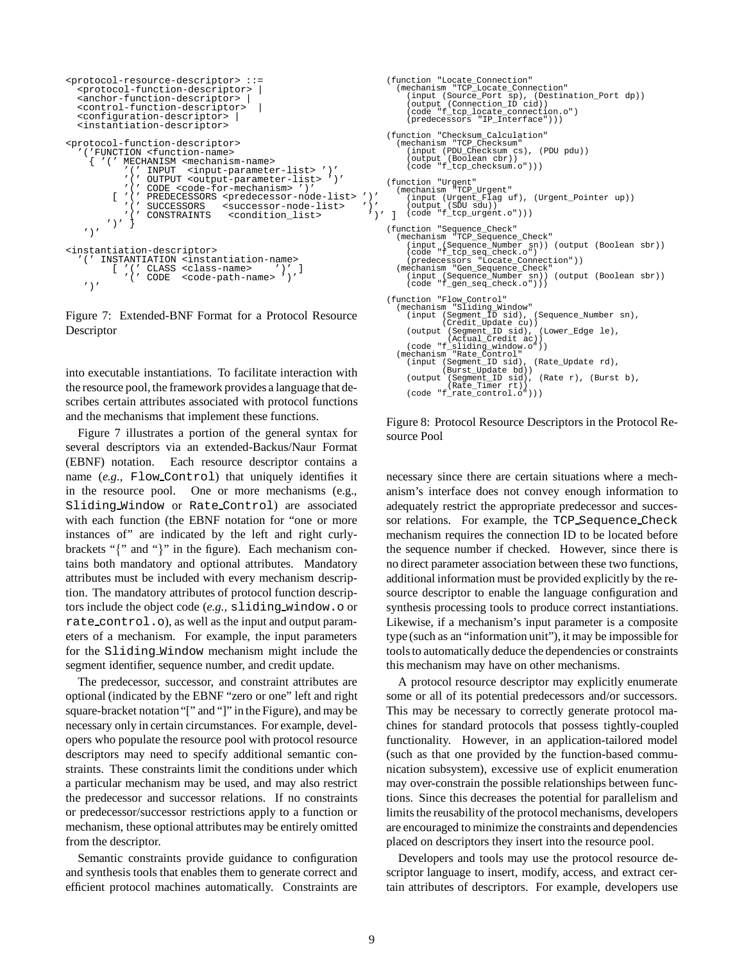```
<protocol-resource-descriptor> ::=
  <protocol-function-descriptor> |
  <anchor-function-descriptor>
  <control-function-descriptor> |
  <configuration-descriptor> |
  <instantiation-descriptor>
<protocol-function-descriptor>
   '('FUNCTION <function-name>
     { '(' MECHANISM <mechanism-name>
'(' INPUT <input-parameter-list> ')'
               '(' OUTPUT <output-parameter-list> ')'
               '(' CODE <code-for-mechanism> ')'
          [ '(' PREDECESSORS <predecessor-node-list> ')'<br>'(' SUCCESSORS <successor-node-list> ')'<br>'(' CONSTRAINTS <condition_list> ')' ]
                   SUCCESSORS <successor-node-list><br>CONSTRAINTS <condition_list>
                                      <condition_list>
         ')' }
    ')'
<instantiation-descriptor><br>'(' INSTANTIATION <insta
       '(' INSTANTIATION <instantiation-name>
           [ '(' CLASS <class-name> ')' ]
'(' CODE <code-path-name> ')'
    '
```
Figure 7: Extended-BNF Format for a Protocol Resource Descriptor

into executable instantiations. To facilitate interaction with the resource pool, the framework provides a language that describes certain attributes associated with protocol functions and the mechanisms that implement these functions.

Figure 7 illustrates a portion of the general syntax for several descriptors via an extended-Backus/Naur Format (EBNF) notation. Each resource descriptor contains a name (e.g., Flow\_Control) that uniquely identifies it in the resource pool. One or more mechanisms (e.g., Sliding Window or Rate Control) are associated with each function (the EBNF notation for "one or more instances of" are indicated by the left and right curlybrackets " $\{$ " and " $\}$ " in the figure). Each mechanism contains both mandatory and optional attributes. Mandatory attributes must be included with every mechanism description. The mandatory attributes of protocol function descriptors include the object code (*e.g.,* sliding window.o or rate control.o), as well as the input and output parameters of a mechanism. For example, the input parameters for the Sliding Window mechanism might include the segment identifier, sequence number, and credit update.

The predecessor, successor, and constraint attributes are optional (indicated by the EBNF "zero or one" left and right square-bracket notation"[" and "]" in the Figure), and may be necessary only in certain circumstances. For example, developers who populate the resource pool with protocol resource descriptors may need to specify additional semantic constraints. These constraints limit the conditions under which a particular mechanism may be used, and may also restrict the predecessor and successor relations. If no constraints or predecessor/successor restrictions apply to a function or mechanism, these optional attributes may be entirely omitted from the descriptor.

Semantic constraints provide guidance to configuration and synthesis tools that enables them to generate correct and efficient protocol machines automatically. Constraints are

```
(function "Locate_Connection"
    (mechanism "TCP_Locate_Connection"<br>
(input (Source_Port sp), (Destination_Port dp))<br>
(output (Connection_ID cid))<br>
(code "f_tcp_locate_connection.o")<br>
(predecessors "IP_Interface")))
(function "Checksum_Calculation"
    (mechanism "TCP_Checksum"
(input (PDU_Checksum cs), (PDU pdu))
         (output (Boolean cbr))
(code "f_tcp_checksum.o")))
(function "Urgent"
(mechanism "TCP_Urgent"
(input (Urgent_Flag uf), (Urgent_Pointer up))
         (output (SDU sdu))
(code "f_tcp_urgent.o")))
(function "Sequence_Check"
    (mechanism "TCP_Sequence_Check"<br>
(input (Sequence_Number sn)) (output (Boolean sbr))<br>
(code "f_tcp_seq_check.o")<br>
(predecessors "Locate_Connection"))<br>
(mechanism "Gen_Sequence_Check"
         (input (Sequence_Number sn)) (output (Boolean sbr))
(code "f_gen_seq_check.o")))
(function "Flow_Control"
(mechanism "Sliding_Window"
(input (Segment_ID sid), (Sequence_Number sn),
(Credit_Update cu))
(output (Segment_ID sid), (Lower_Edge le),
    (Actual_Credit ac))
(code "f_sliding_window.o"))
(mechanism "Rate_Control"
(input (Segment_ID sid), (Rate_Update rd),
                      (Burst_Update bd))
         (output (Segment_ID sid), (Rate r), (Burst b),
(Rate_Timer rt))
        (code "f_rate_control.o")))
```
Figure 8: Protocol Resource Descriptors in the Protocol Resource Pool

necessary since there are certain situations where a mechanism's interface does not convey enough information to adequately restrict the appropriate predecessor and successor relations. For example, the TCP Sequence Check mechanism requires the connection ID to be located before the sequence number if checked. However, since there is no direct parameter association between these two functions, additional information must be provided explicitly by the resource descriptor to enable the language configuration and synthesis processing tools to produce correct instantiations. Likewise, if a mechanism's input parameter is a composite type (such as an "information unit"), it may be impossible for tools to automatically deduce the dependencies or constraints this mechanism may have on other mechanisms.

A protocol resource descriptor may explicitly enumerate some or all of its potential predecessors and/or successors. This may be necessary to correctly generate protocol machines for standard protocols that possess tightly-coupled functionality. However, in an application-tailored model (such as that one provided by the function-based communication subsystem), excessive use of explicit enumeration may over-constrain the possible relationships between functions. Since this decreases the potential for parallelism and limits the reusability of the protocol mechanisms, developers are encouraged to minimize the constraints and dependencies placed on descriptors they insert into the resource pool.

Developers and tools may use the protocol resource descriptor language to insert, modify, access, and extract certain attributes of descriptors. For example, developers use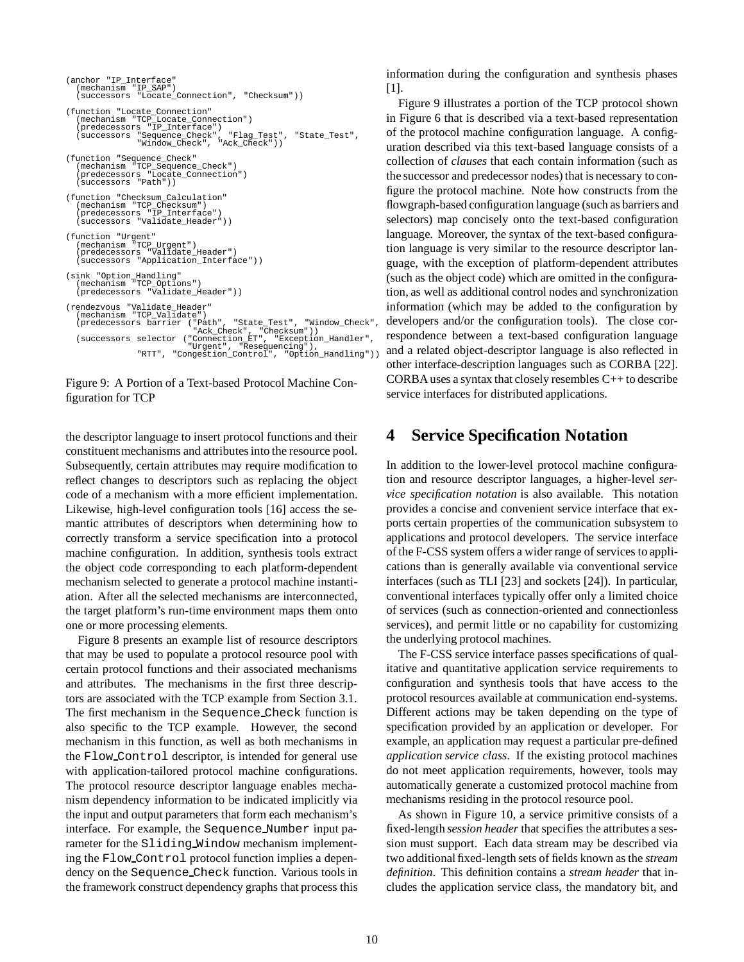```
(anchor "IP_Interface"
    (mechanism "IP_SAP")
(successors "Locate_Connection", "Checksum"))
(function "Locate_Connection"
    (mechanism "TCP_Locate_Connection")
(predecessors "IP_Interface")
(successors "Sequence_Check", "Flag_Test", "State_Test",
"Window_Check", "Ack_Check"))
(function "Sequence_Check"
    (mechanism "TCP_Sequence_Check")
(predecessors "Locate_Connection")
(successors "Path"))
(function "Checksum_Calculation"
(mechanism "TCP_Checksum")
(predecessors "IP_Interface")
    (predecessors "IP_Interface")<br>(successors "Validate_Header")
(function "Urgent"
    (mechanism "TCP_Urgent")
(predecessors "Validate_Header")
   (mechanism icr_orgent)<br>(predecessors "Validate_Header")<br>(successors "Application_Interface"))
(sink "Option_Handling"
    (mechanism "TCP_Options")
(predecessors "Validate_Header"))
(rendezvous "Validate_Header"
    (mechanism "TCP_Validate")
    (predecessors barrier ("Path", "State_Test", "Window_Check",<br>"Ack_Check", "Checksum"))<br>(successors selector ("Connection_ET", "Exception_Handler",<br>"Urgent", "Resequencing"),<br>"RTT", "Congestion_Control", "Option_Handling"))
```
Figure 9: A Portion of a Text-based Protocol Machine Configuration for TCP

the descriptor language to insert protocol functions and their constituent mechanisms and attributes into the resource pool. Subsequently, certain attributes may require modification to reflect changes to descriptors such as replacing the object code of a mechanism with a more efficient implementation. Likewise, high-level configuration tools [16] access the semantic attributes of descriptors when determining how to correctly transform a service specification into a protocol machine configuration. In addition, synthesis tools extract the object code corresponding to each platform-dependent mechanism selected to generate a protocol machine instantiation. After all the selected mechanisms are interconnected, the target platform's run-time environment maps them onto one or more processing elements.

Figure 8 presents an example list of resource descriptors that may be used to populate a protocol resource pool with certain protocol functions and their associated mechanisms and attributes. The mechanisms in the first three descriptors are associated with the TCP example from Section 3.1. The first mechanism in the Sequence Check function is also specific to the TCP example. However, the second mechanism in this function, as well as both mechanisms in the Flow Control descriptor, is intended for general use with application-tailored protocol machine configurations. The protocol resource descriptor language enables mechanism dependency information to be indicated implicitly via the input and output parameters that form each mechanism's interface. For example, the Sequence Number input parameter for the Sliding Window mechanism implementing the Flow Control protocol function implies a dependency on the Sequence Check function. Various tools in the framework construct dependency graphs that process this information during the configuration and synthesis phases [1].

Figure 9 illustrates a portion of the TCP protocol shown in Figure 6 that is described via a text-based representation of the protocol machine configuration language. A configuration described via this text-based language consists of a collection of *clauses* that each contain information (such as the successor and predecessor nodes) that is necessary to configure the protocol machine. Note how constructs from the flowgraph-based configuration language (such as barriers and selectors) map concisely onto the text-based configuration language. Moreover, the syntax of the text-based configuration language is very similar to the resource descriptor language, with the exception of platform-dependent attributes (such as the object code) which are omitted in the configuration, as well as additional control nodes and synchronization information (which may be added to the configuration by developers and/or the configuration tools). The close correspondence between a text-based configuration language and a related object-descriptor language is also reflected in other interface-description languages such as CORBA [22]. CORBA uses a syntax that closely resembles C++ to describe service interfaces for distributed applications.

## **4 Service Specification Notation**

In addition to the lower-level protocol machine configuration and resource descriptor languages, a higher-level *service specification notation* is also available. This notation provides a concise and convenient service interface that exports certain properties of the communication subsystem to applications and protocol developers. The service interface of the F-CSS system offers a wider range of services to applications than is generally available via conventional service interfaces (such as TLI [23] and sockets [24]). In particular, conventional interfaces typically offer only a limited choice of services (such as connection-oriented and connectionless services), and permit little or no capability for customizing the underlying protocol machines.

The F-CSS service interface passes specifications of qualitative and quantitative application service requirements to configuration and synthesis tools that have access to the protocol resources available at communication end-systems. Different actions may be taken depending on the type of specification provided by an application or developer. For example, an application may request a particular pre-defined *application service class*. If the existing protocol machines do not meet application requirements, however, tools may automatically generate a customized protocol machine from mechanisms residing in the protocol resource pool.

As shown in Figure 10, a service primitive consists of a fixed-length *session header* that specifies the attributes a session must support. Each data stream may be described via two additional fixed-length sets of fields known as the *stream definition*. This definition contains a *stream header* that includes the application service class, the mandatory bit, and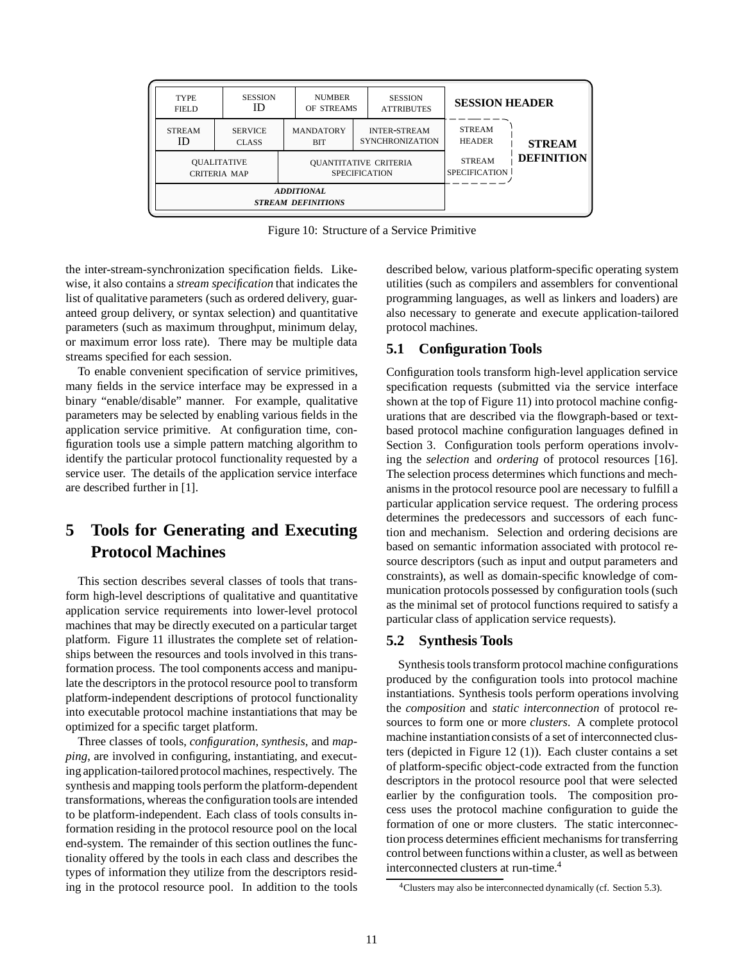| <b>TYPE</b><br>FIELD                           | <b>SESSION</b><br>ID                      | <b>NUMBER</b><br>OF STREAMS                          |  | <b>SESSION</b><br><b>ATTRIBUTES</b>           | <b>SESSION HEADER</b>                 |                   |
|------------------------------------------------|-------------------------------------------|------------------------------------------------------|--|-----------------------------------------------|---------------------------------------|-------------------|
| <b>STREAM</b><br>ID                            | <b>SERVICE</b><br><b>CLASS</b>            | <b>MANDATORY</b><br><b>BIT</b>                       |  | <b>INTER-STREAM</b><br><b>SYNCHRONIZATION</b> | <b>STREAM</b><br><b>HEADER</b>        | <b>STREAM</b>     |
|                                                | <b>OUALITATIVE</b><br><b>CRITERIA MAP</b> | <b>QUANTITATIVE CRITERIA</b><br><b>SPECIFICATION</b> |  |                                               | <b>STREAM</b><br><b>SPECIFICATION</b> | <b>DEFINITION</b> |
| <b>ADDITIONAL</b><br><b>STREAM DEFINITIONS</b> |                                           |                                                      |  |                                               |                                       |                   |

Figure 10: Structure of a Service Primitive

the inter-stream-synchronization specification fields. Likewise, it also contains a *stream specification* that indicates the list of qualitative parameters (such as ordered delivery, guaranteed group delivery, or syntax selection) and quantitative parameters (such as maximum throughput, minimum delay, or maximum error loss rate). There may be multiple data streams specified for each session.

To enable convenient specification of service primitives, many fields in the service interface may be expressed in a binary "enable/disable" manner. For example, qualitative parameters may be selected by enabling various fields in the application service primitive. At configuration time, configuration tools use a simple pattern matching algorithm to identify the particular protocol functionality requested by a service user. The details of the application service interface are described further in [1].

# **5 Tools for Generating and Executing Protocol Machines**

This section describes several classes of tools that transform high-level descriptions of qualitative and quantitative application service requirements into lower-level protocol machines that may be directly executed on a particular target platform. Figure 11 illustrates the complete set of relationships between the resources and tools involved in this transformation process. The tool components access and manipulate the descriptors in the protocol resource pool to transform platform-independent descriptions of protocol functionality into executable protocol machine instantiations that may be optimized for a specific target platform.

Three classes of tools, *configuration*, *synthesis*, and *mapping*, are involved in configuring, instantiating, and executing application-tailored protocol machines, respectively. The synthesis and mapping tools perform the platform-dependent transformations, whereas the configuration tools are intended to be platform-independent. Each class of tools consults information residing in the protocol resource pool on the local end-system. The remainder of this section outlines the functionality offered by the tools in each class and describes the types of information they utilize from the descriptors residing in the protocol resource pool. In addition to the tools

described below, various platform-specific operating system utilities (such as compilers and assemblers for conventional programming languages, as well as linkers and loaders) are also necessary to generate and execute application-tailored protocol machines.

## **5.1 Configuration Tools**

Configuration tools transform high-level application service specification requests (submitted via the service interface shown at the top of Figure 11) into protocol machine configurations that are described via the flowgraph-based or textbased protocol machine configuration languages defined in Section 3. Configuration tools perform operations involving the *selection* and *ordering* of protocol resources [16]. The selection process determines which functions and mechanisms in the protocol resource pool are necessary to fulfill a particular application service request. The ordering process determines the predecessors and successors of each function and mechanism. Selection and ordering decisions are based on semantic information associated with protocol resource descriptors (such as input and output parameters and constraints), as well as domain-specific knowledge of communication protocols possessed by configuration tools (such as the minimal set of protocol functions required to satisfy a particular class of application service requests).

### **5.2 Synthesis Tools**

Synthesis tools transform protocol machine configurations produced by the configuration tools into protocol machine instantiations. Synthesis tools perform operations involving the *composition* and *static interconnection* of protocol resources to form one or more *clusters*. A complete protocol machine instantiation consists of a set of interconnected clusters (depicted in Figure 12 (1)). Each cluster contains a set of platform-specific object-code extracted from the function descriptors in the protocol resource pool that were selected earlier by the configuration tools. The composition process uses the protocol machine configuration to guide the formation of one or more clusters. The static interconnection process determines efficient mechanisms for transferring control between functions within a cluster, as well as between interconnected clusters at run-time.4

<sup>4</sup>Clusters may also be interconnected dynamically (cf. Section 5.3).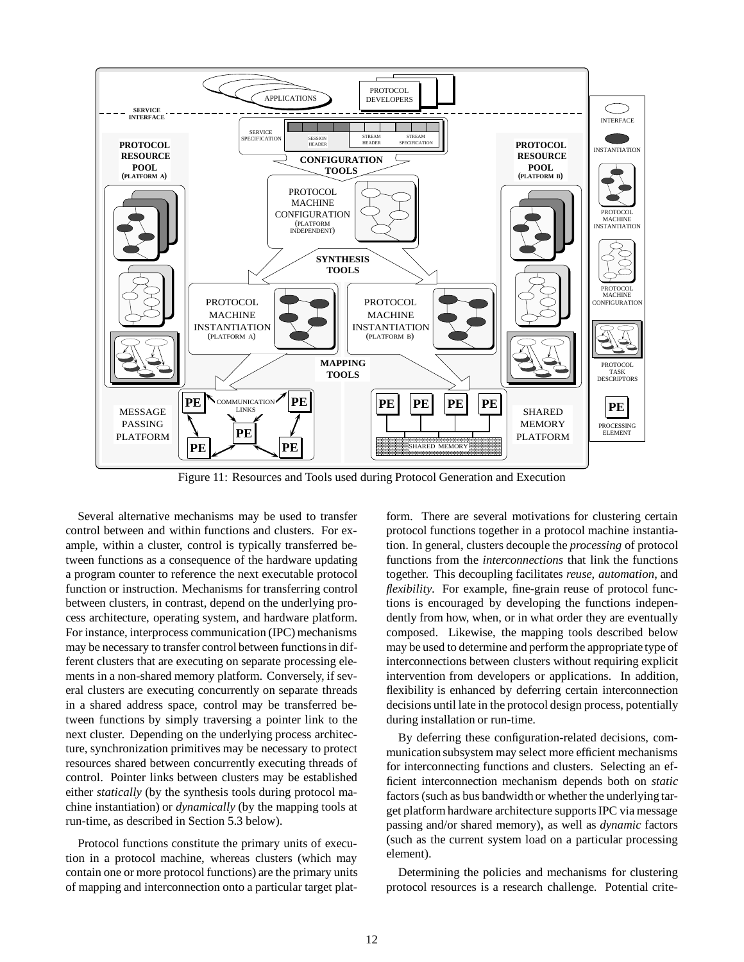

Figure 11: Resources and Tools used during Protocol Generation and Execution

Several alternative mechanisms may be used to transfer control between and within functions and clusters. For example, within a cluster, control is typically transferred between functions as a consequence of the hardware updating a program counter to reference the next executable protocol function or instruction. Mechanisms for transferring control between clusters, in contrast, depend on the underlying process architecture, operating system, and hardware platform. For instance, interprocess communication (IPC) mechanisms may be necessary to transfer control between functions in different clusters that are executing on separate processing elements in a non-shared memory platform. Conversely, if several clusters are executing concurrently on separate threads in a shared address space, control may be transferred between functions by simply traversing a pointer link to the next cluster. Depending on the underlying process architecture, synchronization primitives may be necessary to protect resources shared between concurrently executing threads of control. Pointer links between clusters may be established either *statically* (by the synthesis tools during protocol machine instantiation) or *dynamically* (by the mapping tools at run-time, as described in Section 5.3 below).

Protocol functions constitute the primary units of execution in a protocol machine, whereas clusters (which may contain one or more protocol functions) are the primary units of mapping and interconnection onto a particular target plat-

form. There are several motivations for clustering certain protocol functions together in a protocol machine instantiation. In general, clusters decouple the *processing* of protocol functions from the *interconnections* that link the functions together. This decoupling facilitates *reuse*, *automation*, and *flexibility*. For example, fine-grain reuse of protocol functions is encouraged by developing the functions independently from how, when, or in what order they are eventually composed. Likewise, the mapping tools described below may be used to determine and perform the appropriate type of interconnections between clusters without requiring explicit intervention from developers or applications. In addition, flexibility is enhanced by deferring certain interconnection decisions until late in the protocol design process, potentially during installation or run-time.

By deferring these configuration-related decisions, communication subsystem may select more efficient mechanisms for interconnecting functions and clusters. Selecting an efficient interconnection mechanism depends both on *static* factors (such as bus bandwidth or whether the underlying target platform hardware architecture supports IPC via message passing and/or shared memory), as well as *dynamic* factors (such as the current system load on a particular processing element).

Determining the policies and mechanisms for clustering protocol resources is a research challenge. Potential crite-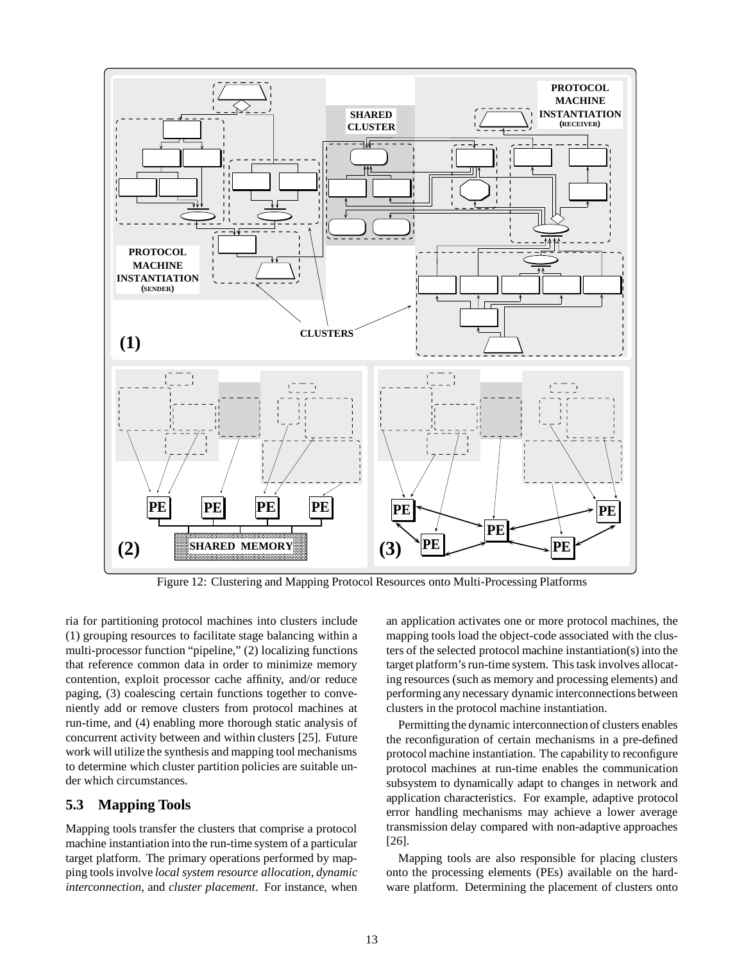

Figure 12: Clustering and Mapping Protocol Resources onto Multi-Processing Platforms

ria for partitioning protocol machines into clusters include (1) grouping resources to facilitate stage balancing within a multi-processor function "pipeline," (2) localizing functions that reference common data in order to minimize memory contention, exploit processor cache affinity, and/or reduce paging, (3) coalescing certain functions together to conveniently add or remove clusters from protocol machines at run-time, and (4) enabling more thorough static analysis of concurrent activity between and within clusters [25]. Future work will utilize the synthesis and mapping tool mechanisms to determine which cluster partition policies are suitable under which circumstances.

#### **5.3 Mapping Tools**

Mapping tools transfer the clusters that comprise a protocol machine instantiation into the run-time system of a particular target platform. The primary operations performed by mapping tools involve *local system resource allocation*, *dynamic interconnection*, and *cluster placement*. For instance, when

an application activates one or more protocol machines, the mapping tools load the object-code associated with the clusters of the selected protocol machine instantiation(s) into the target platform's run-time system. This task involves allocating resources (such as memory and processing elements) and performing any necessary dynamic interconnections between clusters in the protocol machine instantiation.

Permitting the dynamic interconnection of clusters enables the reconfiguration of certain mechanisms in a pre-defined protocol machine instantiation. The capability to reconfigure protocol machines at run-time enables the communication subsystem to dynamically adapt to changes in network and application characteristics. For example, adaptive protocol error handling mechanisms may achieve a lower average transmission delay compared with non-adaptive approaches [26].

Mapping tools are also responsible for placing clusters onto the processing elements (PEs) available on the hardware platform. Determining the placement of clusters onto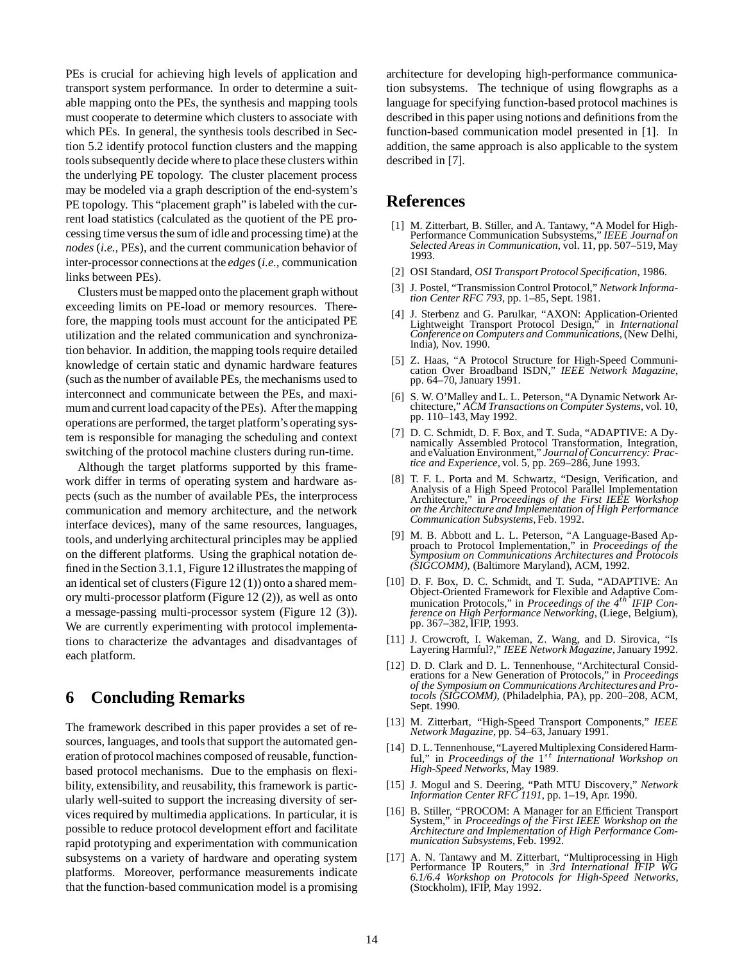PEs is crucial for achieving high levels of application and transport system performance. In order to determine a suitable mapping onto the PEs, the synthesis and mapping tools must cooperate to determine which clusters to associate with which PEs. In general, the synthesis tools described in Section 5.2 identify protocol function clusters and the mapping tools subsequently decide where to place these clusters within the underlying PE topology. The cluster placement process may be modeled via a graph description of the end-system's PE topology. This "placement graph" is labeled with the current load statistics (calculated as the quotient of the PE processing time versus the sum of idle and processing time) at the *nodes* (*i.e.,* PEs), and the current communication behavior of inter-processor connections at the *edges*(*i.e.,* communication links between PEs).

Clusters must be mapped onto the placement graph without exceeding limits on PE-load or memory resources. Therefore, the mapping tools must account for the anticipated PE utilization and the related communication and synchronization behavior. In addition, the mapping tools require detailed knowledge of certain static and dynamic hardware features (such as the number of available PEs, the mechanisms used to interconnect and communicate between the PEs, and maximum and current load capacity of the PEs). After the mapping operations are performed, the target platform's operating system is responsible for managing the scheduling and context switching of the protocol machine clusters during run-time.

Although the target platforms supported by this framework differ in terms of operating system and hardware aspects (such as the number of available PEs, the interprocess communication and memory architecture, and the network interface devices), many of the same resources, languages, tools, and underlying architectural principles may be applied on the different platforms. Using the graphical notation defined in the Section 3.1.1, Figure 12 illustrates the mapping of an identical set of clusters (Figure 12 (1)) onto a shared memory multi-processor platform (Figure 12 (2)), as well as onto a message-passing multi-processor system (Figure 12 (3)). We are currently experimenting with protocol implementations to characterize the advantages and disadvantages of each platform.

## **6 Concluding Remarks**

The framework described in this paper provides a set of resources, languages, and tools that support the automated generation of protocol machines composed of reusable, functionbased protocol mechanisms. Due to the emphasis on flexibility, extensibility, and reusability, this framework is particularly well-suited to support the increasing diversity of services required by multimedia applications. In particular, it is possible to reduce protocol development effort and facilitate rapid prototyping and experimentation with communication subsystems on a variety of hardware and operating system platforms. Moreover, performance measurements indicate that the function-based communication model is a promising architecture for developing high-performance communication subsystems. The technique of using flowgraphs as a language for specifying function-based protocol machines is described in this paper using notions and definitions from the function-based communication model presented in [1]. In addition, the same approach is also applicable to the system described in [7].

### **References**

- [1] M. Zitterbart, B. Stiller, and A. Tantawy, "A Model for High-Performance Communication Subsystems," *IEEE Journal on Selected Areas in Communication*, vol. 11, pp. 507–519, May 1993.
- [2] OSI Standard, *OSI Transport Protocol Specification*, 1986.
- [3] J. Postel, "Transmission Control Protocol," *Network Information Center RFC 793*, pp. 1–85, Sept. 1981.
- [4] J. Sterbenz and G. Parulkar, "AXON: Application-Oriented Lightweight Transport Protocol Design," in *International Conference on Computers and Communications*, (New Delhi, India), Nov. 1990.
- [5] Z. Haas, "A Protocol Structure for High-Speed Communication Over Broadband ISDN," *IEEE Network Magazine*, pp. 64–70, January 1991.
- [6] S. W. O'Malley and L. L. Peterson, "A Dynamic Network Architecture," *ACM Transactions on Computer Systems*, vol. 10, pp. 110–143, May 1992.
- [7] D. C. Schmidt, D. F. Box, and T. Suda, "ADAPTIVE: A Dynamically Assembled Protocol Transformation, Integration, and eValuation Environment," *Journalof Concurrency: Practice and Experience*, vol. 5, pp. 269–286, June 1993.
- [8] T. F. L. Porta and M. Schwartz, "Design, Verification, and Analysis of a High Speed Protocol Parallel Implementation Architecture," in *Proceedings of the First IEEE Workshop on the Architecture and Implementation of High Performance Communication Subsystems*, Feb. 1992.
- [9] M. B. Abbott and L. L. Peterson, "A Language-Based Approach to Protocol Implementation," in *Proceedings of the Symposium on Communications Architectures and Protocols (SIGCOMM)*, (Baltimore Maryland), ACM, 1992.
- [10] D. F. Box, D. C. Schmidt, and T. Suda, "ADAPTIVE: An Object-Oriented Framework for Flexible and Adaptive Communication Protocols," in *Proceedings of the 4*th *IFIP Conference on High Performance Networking*, (Liege, Belgium), pp. 367–382, IFIP, 1993.
- [11] J. Crowcroft, I. Wakeman, Z. Wang, and D. Sirovica, "Is Layering Harmful?," *IEEE Network Magazine*, January 1992.
- [12] D. D. Clark and D. L. Tennenhouse, "Architectural Considerations for a New Generation of Protocols," in *Proceedings of the Symposium on Communications Architectures and Protocols (SIGCOMM)*, (Philadelphia, PA), pp. 200–208, ACM, Sept. 1990.
- [13] M. Zitterbart, "High-Speed Transport Components," *IEEE Network Magazine*, pp. 54–63, January 1991.
- [14] D. L. Tennenhouse, "Layered Multiplexing Considered Harmful," in *Proceedings of the* 1st *International Workshop on High-Speed Networks*, May 1989.
- [15] J. Mogul and S. Deering, "Path MTU Discovery," *Network Information Center RFC 1191*, pp. 1–19, Apr. 1990.
- [16] B. Stiller, "PROCOM: A Manager for an Efficient Transport System," in *Proceedings of the First IEEE Workshop on the Architecture and Implementation of High Performance Communication Subsystems*, Feb. 1992.
- [17] A. N. Tantawy and M. Zitterbart, "Multiprocessing in High Performance IP Routers," in *3rd International IFIP WG 6.1/6.4 Workshop on Protocols for High-Speed Networks*, (Stockholm), IFIP, May 1992.